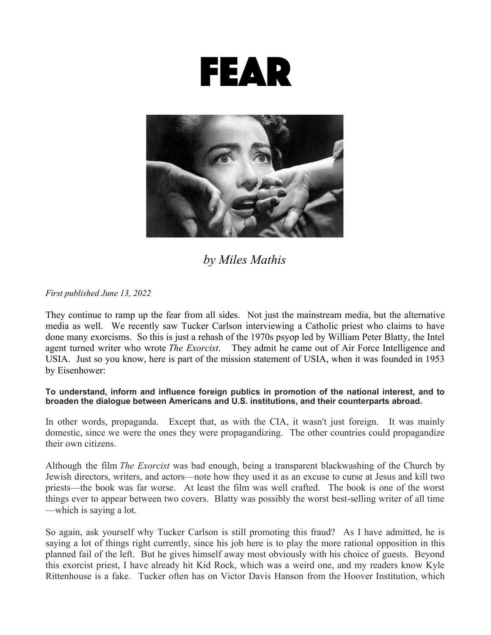



*by Miles Mathis*

*First published June 13, 2022*

They continue to ramp up the fear from all sides. Not just the mainstream media, but the alternative media as well. We recently saw Tucker Carlson interviewing a Catholic priest who claims to have done many exorcisms. So this is just a rehash of the 1970s psyop led by William Peter Blatty, the Intel agent turned writer who wrote *The Exorcist*. They admit he came out of Air Force Intelligence and USIA. Just so you know, here is part of the mission statement of USIA, when it was founded in 1953 by Eisenhower:

## **To understand, inform and influence foreign publics in promotion of the national interest, and to broaden the dialogue between Americans and U.S. institutions, and their counterparts abroad.**

In other words, propaganda. Except that, as with the CIA, it wasn't just foreign. It was mainly domestic, since we were the ones they were propagandizing. The other countries could propagandize their own citizens.

Although the film *The Exorcist* was bad enough, being a transparent blackwashing of the Church by Jewish directors, writers, and actors—note how they used it as an excuse to curse at Jesus and kill two priests—the book was far worse. At least the film was well crafted. The book is one of the worst things ever to appear between two covers. Blatty was possibly the worst best-selling writer of all time —which is saying a lot.

So again, ask yourself why Tucker Carlson is still promoting this fraud? As I have admitted, he is saying a lot of things right currently, since his job here is to play the more rational opposition in this planned fail of the left. But he gives himself away most obviously with his choice of guests. Beyond this exorcist priest, I have already hit Kid Rock, which was a weird one, and my readers know Kyle Rittenhouse is a fake. Tucker often has on Victor Davis Hanson from the Hoover Institution, which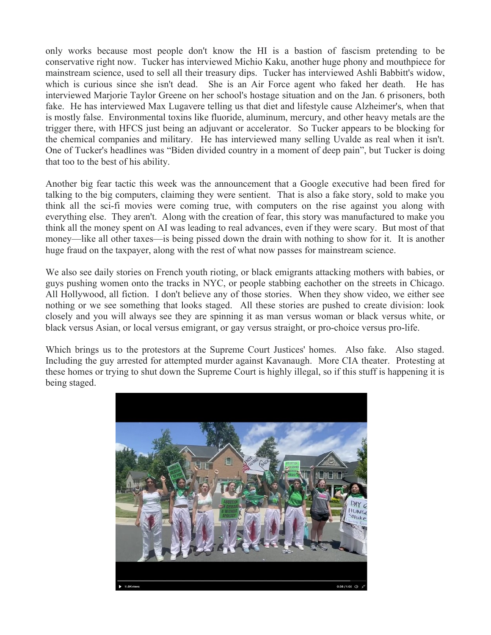only works because most people don't know the HI is a bastion of fascism pretending to be conservative right now. Tucker has interviewed Michio Kaku, another huge phony and mouthpiece for mainstream science, used to sell all their treasury dips. Tucker has interviewed Ashli Babbitt's widow, which is curious since she isn't dead. She is an Air Force agent who faked her death. He has interviewed Marjorie Taylor Greene on her school's hostage situation and on the Jan. 6 prisoners, both fake. He has interviewed Max Lugavere telling us that diet and lifestyle cause Alzheimer's, when that is mostly false. Environmental toxins like fluoride, aluminum, mercury, and other heavy metals are the trigger there, with HFCS just being an adjuvant or accelerator. So Tucker appears to be blocking for the chemical companies and military. He has interviewed many selling Uvalde as real when it isn't. One of Tucker's headlines was "Biden divided country in a moment of deep pain", but Tucker is doing that too to the best of his ability.

Another big fear tactic this week was the announcement that a Google executive had been fired for talking to the big computers, claiming they were sentient. That is also a fake story, sold to make you think all the sci-fi movies were coming true, with computers on the rise against you along with everything else. They aren't. Along with the creation of fear, this story was manufactured to make you think all the money spent on AI was leading to real advances, even if they were scary. But most of that money—like all other taxes—is being pissed down the drain with nothing to show for it. It is another huge fraud on the taxpayer, along with the rest of what now passes for mainstream science.

We also see daily stories on French youth rioting, or black emigrants attacking mothers with babies, or guys pushing women onto the tracks in NYC, or people stabbing eachother on the streets in Chicago. All Hollywood, all fiction. I don't believe any of those stories. When they show video, we either see nothing or we see something that looks staged. All these stories are pushed to create division: look closely and you will always see they are spinning it as man versus woman or black versus white, or black versus Asian, or local versus emigrant, or gay versus straight, or pro-choice versus pro-life.

Which brings us to the protestors at the Supreme Court Justices' homes. Also fake. Also staged. Including the guy arrested for attempted murder against Kavanaugh. More CIA theater. Protesting at these homes or trying to shut down the Supreme Court is highly illegal, so if this stuff is happening it is being staged.

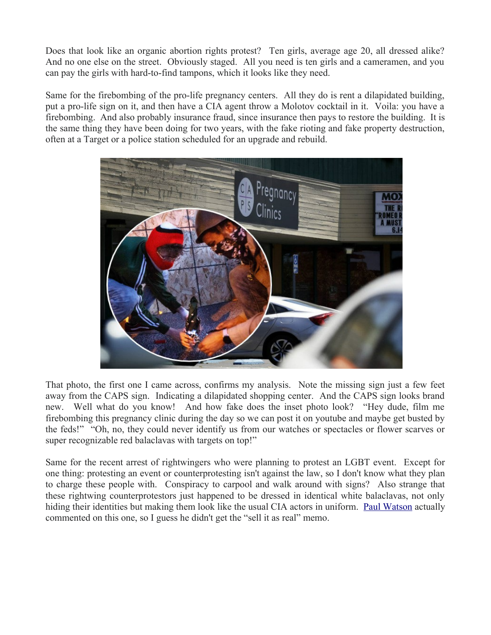Does that look like an organic abortion rights protest? Ten girls, average age 20, all dressed alike? And no one else on the street. Obviously staged. All you need is ten girls and a cameramen, and you can pay the girls with hard-to-find tampons, which it looks like they need.

Same for the firebombing of the pro-life pregnancy centers. All they do is rent a dilapidated building, put a pro-life sign on it, and then have a CIA agent throw a Molotov cocktail in it. Voila: you have a firebombing. And also probably insurance fraud, since insurance then pays to restore the building. It is the same thing they have been doing for two years, with the fake rioting and fake property destruction, often at a Target or a police station scheduled for an upgrade and rebuild.



That photo, the first one I came across, confirms my analysis. Note the missing sign just a few feet away from the CAPS sign. Indicating a dilapidated shopping center. And the CAPS sign looks brand new. Well what do you know! And how fake does the inset photo look? "Hey dude, film me firebombing this pregnancy clinic during the day so we can post it on youtube and maybe get busted by the feds!" "Oh, no, they could never identify us from our watches or spectacles or flower scarves or super recognizable red balaclavas with targets on top!"

Same for the recent arrest of rightwingers who were planning to protest an LGBT event. Except for one thing: protesting an event or counterprotesting isn't against the law, so I don't know what they plan to charge these people with. Conspiracy to carpool and walk around with signs? Also strange that these rightwing counterprotestors just happened to be dressed in identical white balaclavas, not only hiding their identities but making them look like the usual CIA actors in uniform. [Paul Watson](https://www.infowars.com/posts/this-isnt-weird-at-all/) actually commented on this one, so I guess he didn't get the "sell it as real" memo.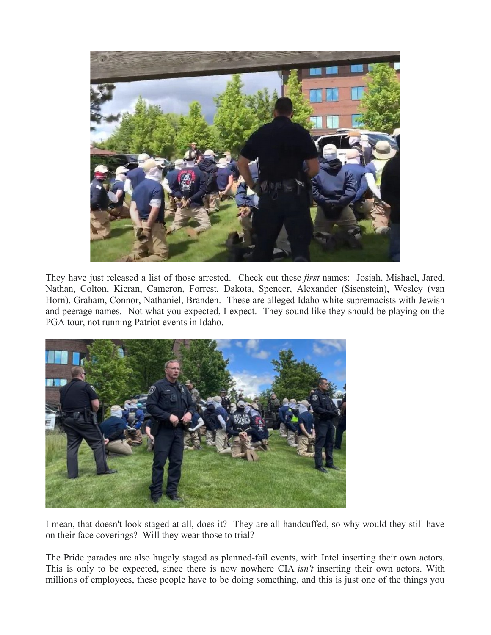

They have just released a list of those arrested. Check out these *first* names: Josiah, Mishael, Jared, Nathan, Colton, Kieran, Cameron, Forrest, Dakota, Spencer, Alexander (Sisenstein), Wesley (van Horn), Graham, Connor, Nathaniel, Branden. These are alleged Idaho white supremacists with Jewish and peerage names. Not what you expected, I expect. They sound like they should be playing on the PGA tour, not running Patriot events in Idaho.



I mean, that doesn't look staged at all, does it? They are all handcuffed, so why would they still have on their face coverings? Will they wear those to trial?

The Pride parades are also hugely staged as planned-fail events, with Intel inserting their own actors. This is only to be expected, since there is now nowhere CIA *isn't* inserting their own actors. With millions of employees, these people have to be doing something, and this is just one of the things you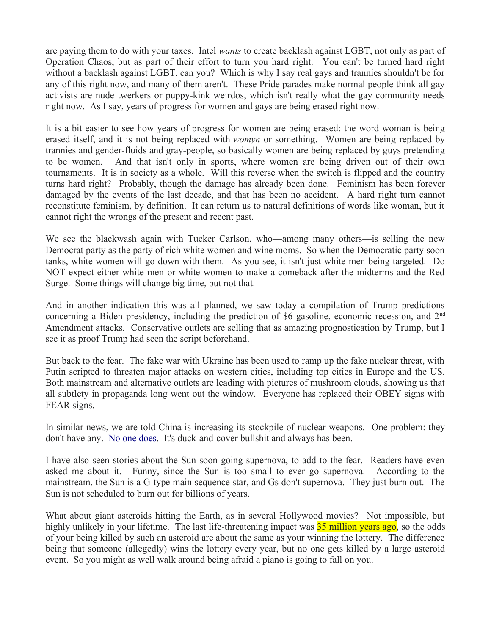are paying them to do with your taxes. Intel *wants* to create backlash against LGBT, not only as part of Operation Chaos, but as part of their effort to turn you hard right. You can't be turned hard right without a backlash against LGBT, can you? Which is why I say real gays and trannies shouldn't be for any of this right now, and many of them aren't. These Pride parades make normal people think all gay activists are nude twerkers or puppy-kink weirdos, which isn't really what the gay community needs right now. As I say, years of progress for women and gays are being erased right now.

It is a bit easier to see how years of progress for women are being erased: the word woman is being erased itself, and it is not being replaced with *womyn* or something. Women are being replaced by trannies and gender-fluids and gray-people, so basically women are being replaced by guys pretending to be women. And that isn't only in sports, where women are being driven out of their own tournaments. It is in society as a whole. Will this reverse when the switch is flipped and the country turns hard right? Probably, though the damage has already been done. Feminism has been forever damaged by the events of the last decade, and that has been no accident. A hard right turn cannot reconstitute feminism, by definition. It can return us to natural definitions of words like woman, but it cannot right the wrongs of the present and recent past.

We see the blackwash again with Tucker Carlson, who—among many others—is selling the new Democrat party as the party of rich white women and wine moms. So when the Democratic party soon tanks, white women will go down with them. As you see, it isn't just white men being targeted. Do NOT expect either white men or white women to make a comeback after the midterms and the Red Surge. Some things will change big time, but not that.

And in another indication this was all planned, we saw today a compilation of Trump predictions concerning a Biden presidency, including the prediction of \$6 gasoline, economic recession, and 2<sup>nd</sup> Amendment attacks. Conservative outlets are selling that as amazing prognostication by Trump, but I see it as proof Trump had seen the script beforehand.

But back to the fear. The fake war with Ukraine has been used to ramp up the fake nuclear threat, with Putin scripted to threaten major attacks on western cities, including top cities in Europe and the US. Both mainstream and alternative outlets are leading with pictures of mushroom clouds, showing us that all subtlety in propaganda long went out the window. Everyone has replaced their OBEY signs with FEAR signs.

In similar news, we are told China is increasing its stockpile of nuclear weapons. One problem: they don't have any. [No one does.](http://mileswmathis.com/trinity.pdf) It's duck-and-cover bullshit and always has been.

I have also seen stories about the Sun soon going supernova, to add to the fear. Readers have even asked me about it. Funny, since the Sun is too small to ever go supernova. According to the mainstream, the Sun is a G-type main sequence star, and Gs don't supernova. They just burn out. The Sun is not scheduled to burn out for billions of years.

What about giant asteroids hitting the Earth, as in several Hollywood movies? Not impossible, but highly unlikely in your lifetime. The last life-threatening impact was **35 million years ago**, so the odds of your being killed by such an asteroid are about the same as your winning the lottery. The difference being that someone (allegedly) wins the lottery every year, but no one gets killed by a large asteroid event. So you might as well walk around being afraid a piano is going to fall on you.